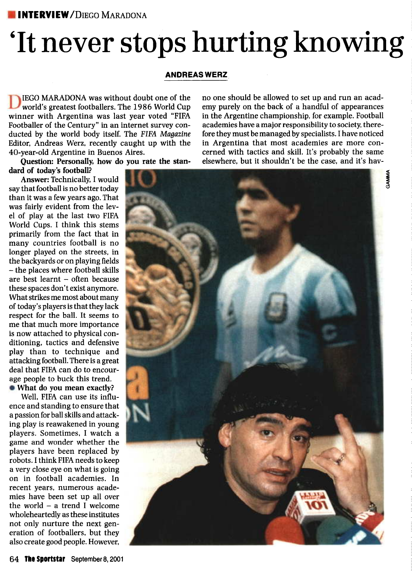#### **INTERVIEW/DIEGO MARADONA**

## 'It never stops hurting knowing

#### **ANDREAS WERZ**

[EGO MARADONA was without doubt one of the world's greatest footballers. The 1986 World Cup winner with Argentina was last year voted "FIFA Footballer of the Century" in an internet survey conducted by the world body itself. The FIFA *Magazine* Editor, Andreas Werz, recently caught up with the 40-year-old Argentine in Buenos Aires.

**Question: Personally, how do you rate the standard of today's football?**

**Answer:** Technically, I would say that football is no better today than it was a few years ago. That was fairly evident from the level of play at the last two FIFA World Cups. I think this stems primarily from the fact that in many countries football is no longer played on the streets, in the backyards or on playing fields - the places where football skills are best learnt - often because these spaces don't exist anymore. What strikes me most about many of today's players is that they lack respect for the ball. It seems to me that much more importance is now attached to physical conditioning, tactics and defensive play than to technique and attacking football. There is a great deal that FIFA can do to encourage people to buck this trend. **What do you mean exactly?**

Well, FIFA can use its influence and standing to ensure that a passion for ball skills and attacking play is reawakened in young

players. Sometimes, I watch a game and wonder whether the players have been replaced by robots. I think FIFA needs to keep a very close eye on what is going on in football academies. In recent years, numerous academies have been set up all over the world  $-$  a trend I welcome wholeheartedly as these institutes not only nurture the next generation of footballers, but they also create good people. However,

no one should be allowed to set up and run an academy purely on the back of a handful of appearances in the Argentine championship, for example. Football academies have a major responsibility to society, therefore they must be managed by specialists. I have noticed in Argentina that most academies are more concerned with tactics and skill. It's probably the same elsewhere, but it shouldn't be the case, and it's hav-

**GAMMA** 

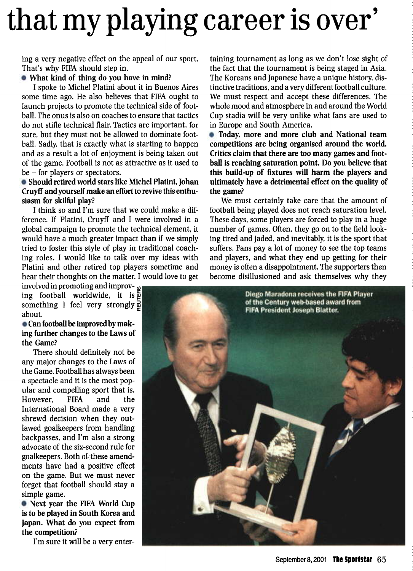# that my playing career is over'

ing a very negative effect on the appeal of our sport. That's why FIFA should step in.

#### **What kind of thing do you have in mind?**

I spoke to Michel Platini about it in Buenos Aires some time ago. He also believes that FIFA ought to launch projects to promote the technical side of football. The onus is also on coaches to ensure that tactics do not stifle technical flair. Tactics are important, for sure, but they must not be allowed to dominate football. Sadly, that is exactly what is starting to happen and as a result a lot of enjoyment is being taken out of the game. Football is not as attractive as it used to be - for players or spectators.

#### **Should retired world stars like Michel Platini, Johan Cruyff and yourself make an effort to revive this enthusiasm for skilful play?**

I think so and I'm sure that we could make a difference. If Platini, Cruyff and I were involved in a global campaign to promote the technical element, it would have a much greater impact than if we simply tried to foster this style of play in traditional coaching roles. I would like to talk over my ideas with Platini and other retired top players sometime and hear their thoughts on the matter. I would love to get

involved in promoting and improv-*<sup>m</sup>*  $\lim_{x \to \infty}$  football worldwide, it is  $\frac{2}{3}$ something I feel very strongly  $\frac{1}{\mu}$ about.

#### **Can football be improved by making further changes to the Laws of the Game?**

There should definitely not be any major changes to the Laws of the Game. Football has always been a spectacle and it is the most popular and compelling sport that is. However, FIFA and the International Board made a very shrewd decision when they outlawed goalkeepers from handling backpasses, and I'm also a strong advocate of the six-second rule for goalkeepers. Both of these amendments have had a positive effect on the game. But we must never forget that football should stay a simple game.

**Next year the** FIFA **World Cup is to be played in South Korea and Japan. What do you expect from the competition?**

I'm sure it will be a very enter-

taining tournament as long as we don't lose sight of the fact that the tournament is being staged in Asia. The Koreans and Japanese have a unique history, distinctive traditions, and a very different football culture. We must respect and accept these differences. The whole mood and atmosphere in and around the World Cup stadia will be very unlike what fans are used to in Europe and South America.

**Today, more and more club and National team competitions are being organised around the world. Critics claim that there are too many games and football is reaching saturation point. Do you believe that this build-up of fixtures will harm the players and ultimately have a detrimental effect on the quality of the game?**

We must certainly take care that the amount of football being played does not reach saturation level. These days, some players are forced to play in a huge number of games. Often, they go on to the field looking tired and jaded, and inevitably, it is the sport that suffers. Fans pay a lot of money to see the top teams and players, and what they end up getting for their money is often a disappointment. The supporters then become disillusioned and ask themselves why they

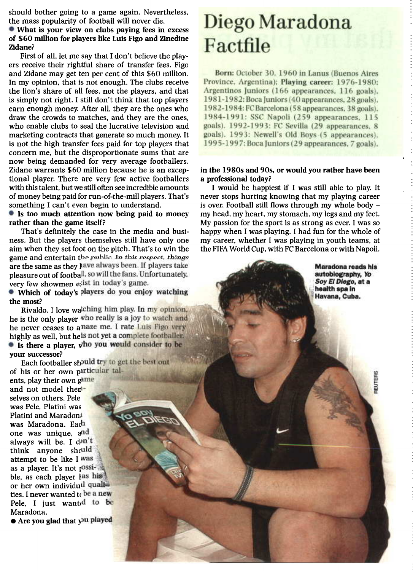should bother going to a game again. Nevertheless, the mass popularity of football will never die.

**What is your view on clubs paying** fees **in** excess **of \$60 million for players like Luis Figo and Zinedine Zidane?**

First of all, let me say that I don't believe the players receive their rightful share of transfer fees. Figo and Zidane may get ten per cent of this \$60 million. In my opinion, that is not enough. The clubs receive the lion's share of all fees, not the players, and that is simply not right. I still don't think that top players earn enough money. After all, they are the ones who draw the crowds to matches, and they are the ones, who enable clubs to seal the lucrative television and marketing contracts that generate so much money. It is not the high transfer fees paid for top players that concern me, but the disproportionate sums that are now being demanded for very average footballers. Zidane warrants \$60 million because he is an exceptional player. There are very few active footballers with this talent, but we still often see incredible amounts of money being paid for run-of-the-mill players. That's something I can't even begin to understand.

#### **Is too much attention now being paid to money rather than the game itself?**

That's definitely the case in the media and business. But the players themselves still have only one aim when they set foot on the pitch. That's to win the game and entertain the public. In this respect, things are the same as they have always been. If players take pleasure out of football, so will the fans. Unfortunately, very few showmen exist in today's game.

**• Which of today's players do you enjoy watching the most?**

Rivaldo. I love watching him play. In my opinion, he is the only player who really is a joy to watch and he never ceases to a naze me. I rate Luis Figo very highly as well, but hels not yet a complete footballer. **•** Is there a player, vho you would consider to be **your successor?**

Each footballer should try to get the best out of his or her own particular tal-

ents, play their own game and not model then selves on others. Pele was Pele, Platini was Platini and Maradon was Maradona. Each one was unique, and always will be. I don't think anyone should attempt to be like I was as a player. It's not possible, as each player las his or her own individual qualities. I never wanted to be a new Pele, I just wanted to be Maradona.

**• Are you glad that you played** 

### Diego Maradona Factfile

Born: October 30, 1960 in Lanus (Buenos Aires Province, Argentina): Playing career: 1976-1980: Argentinos Juniors (166 appearances, 116 goals). 1981-1982: Boca Juniors (40 appearances, 28 goals). 1982-1984: FC Barcelona (58 appearances, 38 goals). 1984-1991: SSC Napoli (259 appearances, 115 goals). 1992-1993: FC Sevilla (29 appearances. 8 goals). 1993: Newell's Old Boys (5 appearances). 1995-1997: Boca Juniors (29 appearances, 7 goals).

#### **in the 1980s and 90s, or would you rather have been a professional today?**

**I** would be happiest if I was still able to play. It never stops hurting knowing that my playing career is over. Football still flows through my whole body  $$ my head, my heart, my stomach, my legs and my feet. My passion for the sport is as strong as ever. I was so happy when I was playing. I had fun for the whole of my career, whether I was playing in youth teams, at the FIFA World Cup, with FC Barcelona or with Napoli.

> Maradona reads his autobiography, Yo Soy El Diego, at a health spa in Havana, Cuba.

> > REUTERS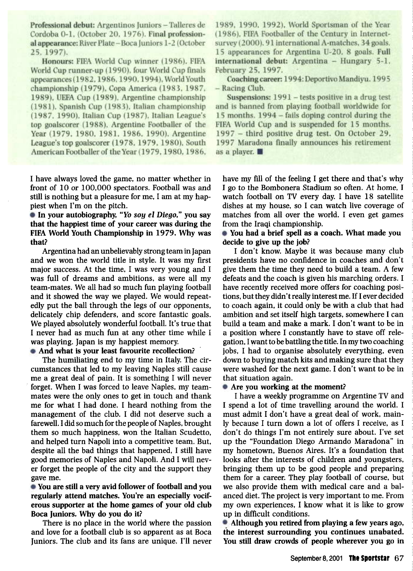Professional debut: Argentinos Juniors - Talleres de Cordoba 0-1, (October 20, 1976). Final professional appearance: River Plate - Boca Juniors 1-2 (October 25. 1997).

Honours: FIFA World Cup winner (1986). FIFA World Cup runner-up (1990), four World Cup finals appearances (1982, 1986, 1990, 1994), World Youth championship (1979), Copa America (1983, 1987, 1989), UEFA Cup (1989), Argentine championship (1981). Spanish Cup (1983), Italian championship (1987, 1990), Italian Cup (1987), Italian League's top goalscorer (1988), Argentine Footballer of the Year (1979, 1980, 1981, 1986, 1990). Argentine League's top goalscorer (1978, 1979, 1980), South American Footballer of the Year (1979, 1980, 1986,

I have always loved the game, no matter whether in front of 10 or 100,000 spectators. Football was and still is nothing but a pleasure for me, I am at my happiest when I'm on the pitch.

**In your autobiography, 'To** *soy el Diego,"* **you say that the happiest time of your career was during the FIFA World Youth Championship in 1979. Why was that?**

Argentina had an unbelievably strong team in Japan and we won the world title in style. It was my first major success. At the time, I was very young and I was full of dreams and ambitions, as were all my team-mates. We all had so much fun playing football and it showed the way we played. We would repeatedly put the ball through the legs of our opponents, delicately chip defenders, and score fantastic goals. We played absolutely wonderful football. It's true that I never had as much fun at any other time while I was playing. Japan is my happiest memory.

**And what is your least favourite recollection?**

The humiliating end to my time in Italy. The circumstances that led to my leaving Naples still cause me a great deal of pain. It is something I will never forget. When I was forced to leave Naples, my teammates were the only ones to get in touch and thank me for what I had done. I heard nothing from the management of the club. I did not deserve such a farewell. I did so much for the people of Naples, brought them so much happiness, won the Italian Scudetto, and helped turn Napoli into a competitive team. But, despite all the bad things that happened, I still have good memories of Naples and Napoli. And I will never forget the people of the city and the support they gave me.

**You are still a very avid follower of football and you regularly attend matches. You're an especially vociferous supporter at the home games of your old club Boca Juniors. Why do you do it?**

There is no place in the world where the passion and love for a football club is so apparent as at Boca Juniors. The club and its fans are unique. I'll never

1989, 1990, 1992), World Sportsman of the Year (1986). FIFA Footballer of the Century in Internetsurvey (2000). 91 international A-matches, 34 goals. 15 appearances for Argentina U-20. 8 goals. Full international debut: Argentina - Hungary 5-1, February 25, 1997.

Coaching career: 1994: Deportivo Mandiyu. 1995 - Racing Club.

Suspensions: 1991 - tests positive in a drug test and is banned from playing football worldwide for 15 months. 1994 – fails doping control during the FIFA World Cup and is suspended for 15 months. 1997 - third positive drug test. On October 29. 1997 Maradona finally announces his retirement as a player.

have my fill of the feeling I get there and that's why I go to the Bombonera Stadium so often. At home, I watch football on TV every day. I have 18 satellite dishes at my house, so I can watch live coverage of matches from all over the world. I even get games from the Iraqi championship.

**You had a brief spell as a coach. What made you decide to give up the job?**

I don't know. Maybe it was because many club presidents have no confidence in coaches and don't give them the time they need to build a team. A few defeats and the coach is given his marching orders. I have recently received more offers for coaching positions, but they didn't really interest me. If I ever decided to coach again, it could only be with a club that had ambition and set itself high targets, somewhere I can build a team and make a mark. I don't want to be in a position where I constantly have to stave off relegation, I want to be battling the title. In my two coaching jobs, I had to organise absolutely everything, even down to buying match kits and making sure that they were washed for the next game. I don't want to be in that situation again.

#### **Are you working at the moment?**

I have a weekly programme on Argentine TV and I spend a lot of time travelling around the world. I must admit I don't have a great deal of work, mainly because I turn down a lot of offers I receive, as I don't do things I'm not entirely sure about. I've set up the "Foundation Diego Armando Maradona" in my hometown, Buenos Aires. It's a foundation that looks after the interests of children and youngsters, bringing them up to be good people and preparing them for a career. They play football of course, but we also provide them with medical care and a balanced diet. The project is very important to me. From my own experiences, I know what it is like to grow up in difficult conditions.

**Although you retired from playing a few years ago, the interest surrounding you continues unabated. You still draw crowds of people wherever you go** in